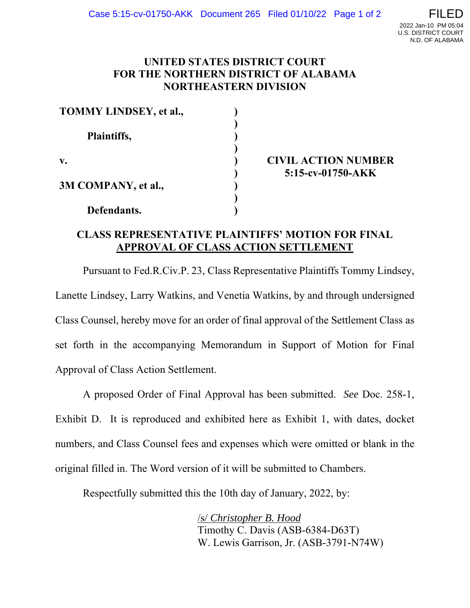## **UNITED STATES DISTRICT COURT FOR THE NORTHERN DISTRICT OF ALABAMA NORTHEASTERN DIVISION**

| <b>TOMMY LINDSEY, et al.,</b> |  |
|-------------------------------|--|
| Plaintiffs,                   |  |
| $\mathbf{v}$ .                |  |
| 3M COMPANY, et al.,           |  |
| Defendants.                   |  |

**CIVIL ACTION NUMBER 5:15-cv-01750-AKK**

## **CLASS REPRESENTATIVE PLAINTIFFS' MOTION FOR FINAL APPROVAL OF CLASS ACTION SETTLEMENT**

Pursuant to Fed.R.Civ.P. 23, Class Representative Plaintiffs Tommy Lindsey, Lanette Lindsey, Larry Watkins, and Venetia Watkins, by and through undersigned Class Counsel, hereby move for an order of final approval of the Settlement Class as set forth in the accompanying Memorandum in Support of Motion for Final Approval of Class Action Settlement.

A proposed Order of Final Approval has been submitted. *See* Doc. 258-1, Exhibit D. It is reproduced and exhibited here as Exhibit 1, with dates, docket numbers, and Class Counsel fees and expenses which were omitted or blank in the original filled in. The Word version of it will be submitted to Chambers.

Respectfully submitted this the 10th day of January, 2022, by:

/s/ *Christopher B. Hood* Timothy C. Davis (ASB-6384-D63T) W. Lewis Garrison, Jr. (ASB-3791-N74W)